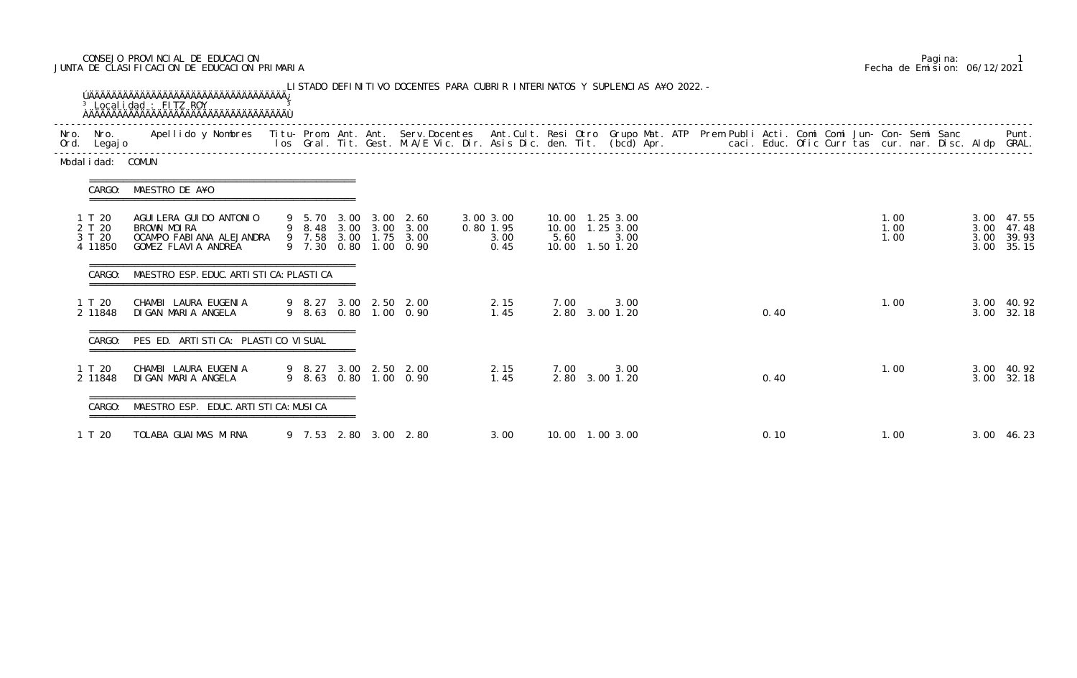## CONSEJO PROVINCIAL DE EDUCACION Pagina: 1 JUNTA DE CLASIFICACION DE EDUCACION PRIMARIA Fecha de Emision: 06/12/2021

| Nro. Nro.<br>Ord. Legajo              | Apellido y Nombres - Titu- Prom. Ant. Ant. Serv.Docentes - Ant.Cult. Resi Otro Grupo Mat. ATP Prem Publi Acti. Comi Comi Jun- Con- Semi Sanc - - - Punt.<br>Ios Gral. Tit. Gest. M.A/E Vic. Dir. Asis Dic. den. Tit. (bcd) Apr. - |  |                       |                                                                                                  |                                        |                                                                   |                        |  |      |  |                      |  |                      |                                       |
|---------------------------------------|-----------------------------------------------------------------------------------------------------------------------------------------------------------------------------------------------------------------------------------|--|-----------------------|--------------------------------------------------------------------------------------------------|----------------------------------------|-------------------------------------------------------------------|------------------------|--|------|--|----------------------|--|----------------------|---------------------------------------|
| Modal i dad: COMUN                    |                                                                                                                                                                                                                                   |  |                       |                                                                                                  |                                        |                                                                   |                        |  |      |  |                      |  |                      |                                       |
| CARGO:                                | MAESTRO DE A¥O                                                                                                                                                                                                                    |  |                       |                                                                                                  |                                        |                                                                   |                        |  |      |  |                      |  |                      |                                       |
| 1 T 20<br>2 T 20<br>3 T 20<br>4 11850 | AGUI LERA GUI DO ANTONI O<br>BROWN MOIRA<br>OCAMPO FABIANA ALEJANDRA<br>GOMEZ FLAVIA ANDREA                                                                                                                                       |  |                       | 9 5.70 3.00 3.00 2.60<br>9 8.48 3.00 3.00 3.00<br>9 7.58 3.00 1.75 3.00<br>9 7.30 0.80 1.00 0.90 | 3.00 3.00<br>0.80 1.95<br>3.00<br>0.45 | 10.00 1.25 3.00<br>10.00  1.25  3.00<br>5.60<br>10.00  1.50  1.20 | 3.00                   |  |      |  | 1.00<br>1.00<br>1.00 |  | 3.00<br>3.00<br>3.00 | 3.00 47.55<br>47.48<br>39.93<br>35.15 |
| CARGO:                                | MAESTRO ESP. EDUC. ARTI STI CA: PLASTI CA                                                                                                                                                                                         |  |                       |                                                                                                  |                                        |                                                                   |                        |  |      |  |                      |  |                      |                                       |
| 1 T 20<br>2 11848                     | CHAMBI LAURA EUGENIA<br>DIGAN MARIA ANGELA                                                                                                                                                                                        |  |                       | 9 8.27 3.00 2.50 2.00<br>9 8.63 0.80 1.00 0.90                                                   | 2.15<br>1.45                           | 7.00                                                              | 3.00<br>2.80 3.00 1.20 |  | 0.40 |  | 1.00                 |  | 3.00                 | 3.00 40.92<br>32.18                   |
| CARGO:                                | PES ED. ARTI STI CA: PLASTI CO VI SUAL                                                                                                                                                                                            |  |                       |                                                                                                  |                                        |                                                                   |                        |  |      |  |                      |  |                      |                                       |
| 1 T 20<br>2 11848                     | CHAMBI LAURA EUGENIA<br>DI GAN MARI A ANGELA                                                                                                                                                                                      |  | 9 8.27 3.00 2.50 2.00 | 9 8.63 0.80 1.00 0.90                                                                            | 2.15<br>1.45                           | 7.00                                                              | 3.00<br>2.80 3.00 1.20 |  | 0.40 |  | 1.00                 |  | 3.00                 | 3.00 40.92<br>32.18                   |
| CARGO:                                | MAESTRO ESP. EDUC. ARTI STI CA: MUSI CA                                                                                                                                                                                           |  |                       |                                                                                                  |                                        |                                                                   |                        |  |      |  |                      |  |                      |                                       |
| 1 T 20                                | TOLABA GUAIMAS MIRNA                                                                                                                                                                                                              |  |                       | 9 7.53 2.80 3.00 2.80                                                                            | 3.00                                   | 10.00 1.00 3.00                                                   |                        |  | 0.10 |  | 1.00                 |  |                      | 3.00 46.23                            |

|  | Pagi na: |                              |
|--|----------|------------------------------|
|  |          | Fecha de Emision: 06/12/2021 |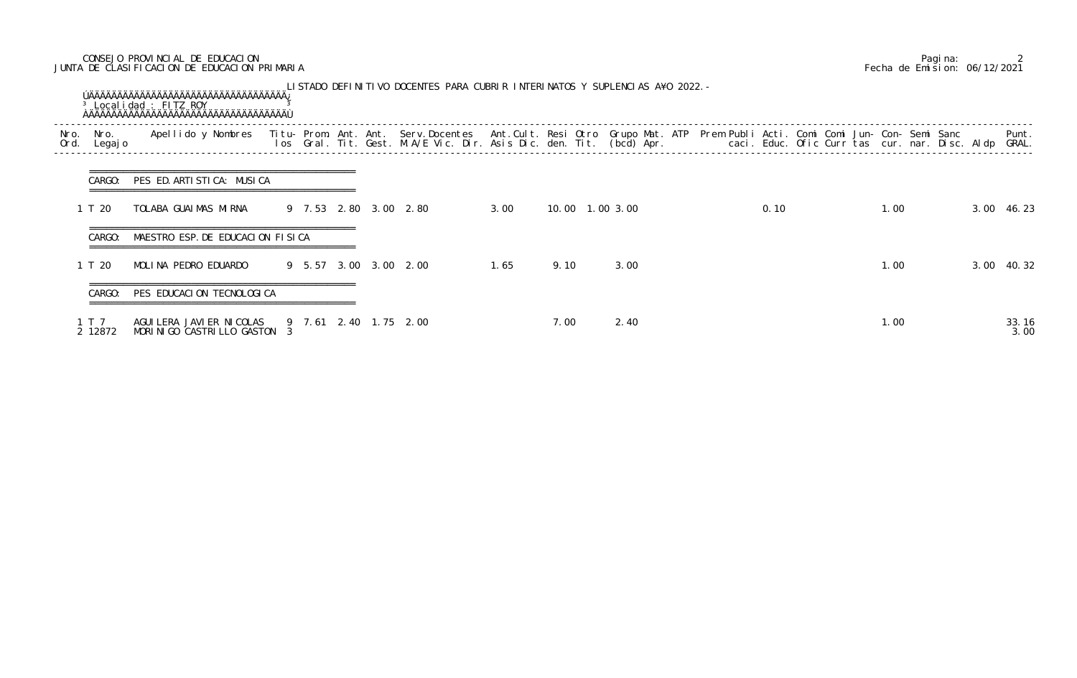## CONSEJO PROVINCIAL DE EDUCACION Pagina: 2 JUNTA DE CLASIFICACION DE EDUCACION PRIMARIA Fecha de Emision: 06/12/2021

|              |                  | <sup>3</sup> Localidad : FITZ ROY                                                                                                                                                                                                 |  |  | LISTADO DEFINITIVO DOCENTES PARA CUBRIR INTERINATOS Y SUPLENCIAS A¥O 2022. - |      |      |                 |  |      |  |      |  |               |
|--------------|------------------|-----------------------------------------------------------------------------------------------------------------------------------------------------------------------------------------------------------------------------------|--|--|------------------------------------------------------------------------------|------|------|-----------------|--|------|--|------|--|---------------|
| Nro.<br>Ord. | Nro.<br>Legaj o  | Apellido y Nombres - Titu- Prom. Ant. Ant. Serv.Docentes - Ant.Cult. Resi Otro Grupo Mat. ATP - Prem Publi Acti. Comi Comi Jun- Con- Semi Sanc - - - - Punt.<br>Ios Gral. Tit. Gest. M.A/E Vic. Dir. Asis Dic. den. Tit. (bcd) Ap |  |  |                                                                              |      |      |                 |  |      |  |      |  |               |
|              | CARGO:           | PES ED. ARTISTICA: MUSICA                                                                                                                                                                                                         |  |  |                                                                              |      |      |                 |  |      |  |      |  |               |
|              | 1 T 20           | TOLABA GUAIMAS MIRNA                                                                                                                                                                                                              |  |  | 9 7.53 2.80 3.00 2.80                                                        | 3.00 |      | 10.00 1.00 3.00 |  | 0.10 |  | 1.00 |  | 3.00 46.23    |
|              | CARGO:           | MAESTRO ESP. DE EDUCACION FISICA                                                                                                                                                                                                  |  |  |                                                                              |      |      |                 |  |      |  |      |  |               |
|              | 1 T 20           | MOLINA PEDRO EDUARDO                                                                                                                                                                                                              |  |  | 9 5.57 3.00 3.00 2.00                                                        | 1.65 | 9.10 | 3.00            |  |      |  | 1.00 |  | 3.00 40.32    |
|              | CARGO:           | PES EDUCACION TECNOLOGICA                                                                                                                                                                                                         |  |  |                                                                              |      |      |                 |  |      |  |      |  |               |
|              | 1 T 7<br>2 12872 | AGUI LERA JAVI ER NI COLAS<br>MORINIGO CASTRILLO GASTON 3                                                                                                                                                                         |  |  | 9 7.61 2.40 1.75 2.00                                                        |      | 7.00 | 2.40            |  |      |  | 1.00 |  | 33.16<br>3.00 |